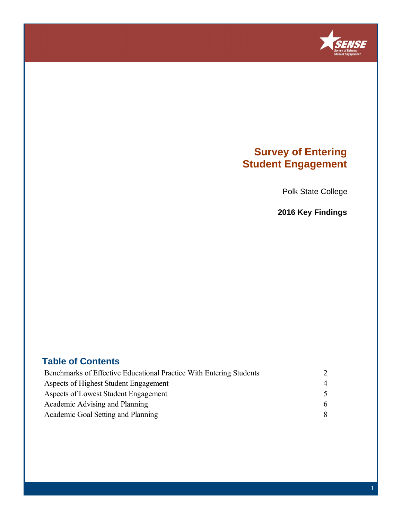

## **Survey of Entering Student Engagement**

Polk State College

**2016 Key Findings**

### **Table of Contents**

| Benchmarks of Effective Educational Practice With Entering Students |                |  |
|---------------------------------------------------------------------|----------------|--|
| Aspects of Highest Student Engagement                               | $\overline{4}$ |  |
| Aspects of Lowest Student Engagement                                |                |  |
| Academic Advising and Planning                                      | 6              |  |
| Academic Goal Setting and Planning                                  | 8              |  |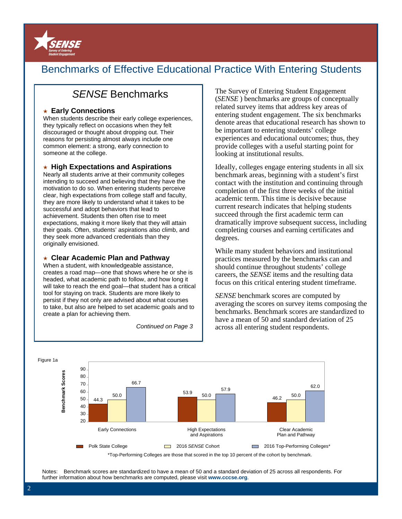

## Benchmarks of Effective Educational Practice With Entering Students

## SENSE Benchmarks

#### ★ **Early Connections**

When students describe their early college experiences, they typically reflect on occasions when they felt discouraged or thought about dropping out. Their reasons for persisting almost always include one common element: a strong, early connection to someone at the college.

#### ★ **High Expectations and Aspirations**

Nearly all students arrive at their community colleges intending to succeed and believing that they have the motivation to do so. When entering students perceive clear, high expectations from college staff and faculty, they are more likely to understand what it takes to be successful and adopt behaviors that lead to achievement. Students then often rise to meet expectations, making it more likely that they will attain their goals. Often, students' aspirations also climb, and they seek more advanced credentials than they originally envisioned.

#### ★ **Clear Academic Plan and Pathway**

When a student, with knowledgeable assistance, creates a road map—one that shows where he or she is headed, what academic path to follow, and how long it will take to reach the end goal—that student has a critical tool for staying on track. Students are more likely to persist if they not only are advised about what courses to take, but also are helped to set academic goals and to create a plan for achieving them.

Continued on Page 3

The Survey of Entering Student Engagement (*SENSE* ) benchmarks are groups of conceptually related survey items that address key areas of entering student engagement. The six benchmarks denote areas that educational research has shown to be important to entering students' college experiences and educational outcomes; thus, they provide colleges with a useful starting point for looking at institutional results.

Ideally, colleges engage entering students in all six benchmark areas, beginning with a student's first contact with the institution and continuing through completion of the first three weeks of the initial academic term. This time is decisive because current research indicates that helping students succeed through the first academic term can dramatically improve subsequent success, including completing courses and earning certificates and degrees.

While many student behaviors and institutional practices measured by the benchmarks can and should continue throughout students' college careers, the *SENSE* items and the resulting data focus on this critical entering student timeframe.

*SENSE* benchmark scores are computed by averaging the scores on survey items composing the benchmarks. Benchmark scores are standardized to have a mean of 50 and standard deviation of 25 across all entering student respondents.



Notes: Benchmark scores are standardized to have a mean of 50 and a standard deviation of 25 across all respondents. For

further information about how benchmarks are computed, please visit **www.cccse.org**.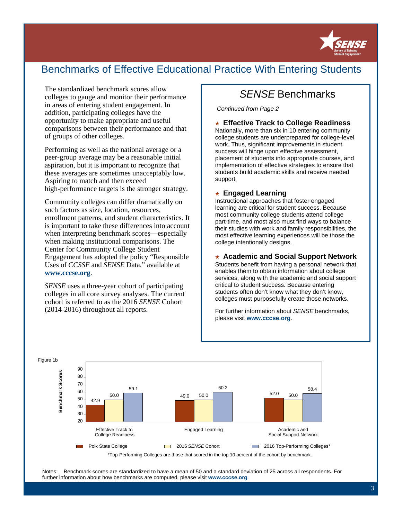

## Benchmarks of Effective Educational Practice With Entering Students

The standardized benchmark scores allow colleges to gauge and monitor their performance in areas of entering student engagement. In addition, participating colleges have the opportunity to make appropriate and useful comparisons between their performance and that of groups of other colleges.

Performing as well as the national average or a peer-group average may be a reasonable initial aspiration, but it is important to recognize that these averages are sometimes unacceptably low. Aspiring to match and then exceed high-performance targets is the stronger strategy.

Community colleges can differ dramatically on such factors as size, location, resources, enrollment patterns, and student characteristics. It is important to take these differences into account when interpreting benchmark scores—especially when making institutional comparisons. The Center for Community College Student Engagement has adopted the policy "Responsible Uses of *CCSSE* and *SENSE* Data," available at **www.cccse.org**.

*SENSE* uses a three-year cohort of participating colleges in all core survey analyses. The current cohort is referred to as the 2016 *SENSE* Cohort (2014-2016) throughout all reports.

## SENSE Benchmarks

Continued from Page 2

★ **Effective Track to College Readiness** 

Nationally, more than six in 10 entering community college students are underprepared for college-level work. Thus, significant improvements in student success will hinge upon effective assessment, placement of students into appropriate courses, and implementation of effective strategies to ensure that students build academic skills and receive needed support.

#### ★ **Engaged Learning**

Instructional approaches that foster engaged learning are critical for student success. Because most community college students attend college part-time, and most also must find ways to balance their studies with work and family responsibilities, the most effective learning experiences will be those the college intentionally designs.

#### ★ **Academic and Social Support Network**

Students benefit from having a personal network that enables them to obtain information about college services, along with the academic and social support critical to student success. Because entering students often don't know what they don't know, colleges must purposefully create those networks.

For further information about SENSE benchmarks, please visit **www.cccse.org**.



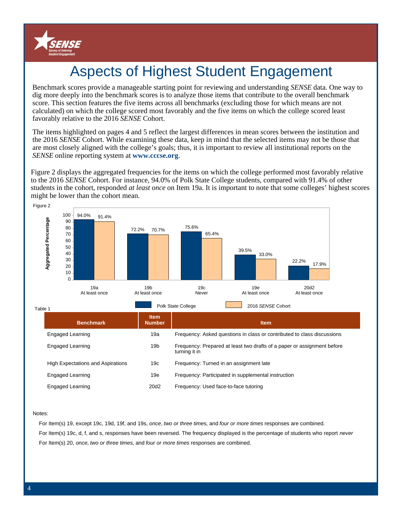

# Aspects of Highest Student Engagement

Benchmark scores provide a manageable starting point for reviewing and understanding *SENSE* data. One way to dig more deeply into the benchmark scores is to analyze those items that contribute to the overall benchmark score. This section features the five items across all benchmarks (excluding those for which means are not calculated) on which the college scored most favorably and the five items on which the college scored least favorably relative to the 2016 *SENSE* Cohort.

The items highlighted on pages 4 and 5 reflect the largest differences in mean scores between the institution and the 2016 *SENSE* Cohort. While examining these data, keep in mind that the selected items may not be those that are most closely aligned with the college's goals; thus, it is important to review all institutional reports on the *SENSE* online reporting system at **www.cccse.org**.

Figure 2 displays the aggregated frequencies for the items on which the college performed most favorably relative to the 2016 *SENSE* Cohort. For instance, 94.0% of Polk State College students, compared with 91.4% of other students in the cohort, responded *at least once* on Item 19a. It is important to note that some colleges' highest scores might be lower than the cohort mean.



| <b>Benchmark</b>                         | <b>Item</b><br><b>Number</b> | <b>Item</b>                                                                              |
|------------------------------------------|------------------------------|------------------------------------------------------------------------------------------|
| Engaged Learning                         | 19a                          | Frequency: Asked questions in class or contributed to class discussions                  |
| Engaged Learning                         | 19 <sub>b</sub>              | Frequency: Prepared at least two drafts of a paper or assignment before<br>turning it in |
| <b>High Expectations and Aspirations</b> | 19 <sub>c</sub>              | Frequency: Turned in an assignment late                                                  |
| Engaged Learning                         | 19e                          | Frequency: Participated in supplemental instruction                                      |
| Engaged Learning                         | 20d <sub>2</sub>             | Frequency: Used face-to-face tutoring                                                    |

#### Notes:

For Item(s) 19, except 19c, 19d, 19f, and 19s, once, two or three times, and four or more times responses are combined. For Item(s) 19c, d, f, and s, responses have been reversed. The frequency displayed is the percentage of students who report never For Item(s) 20, once, two or three times, and four or more times responses are combined.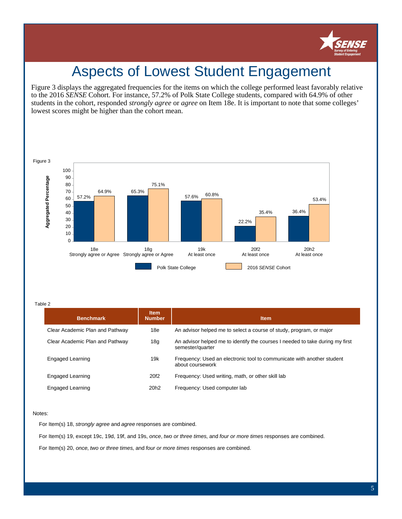

## Aspects of Lowest Student Engagement

Figure 3 displays the aggregated frequencies for the items on which the college performed least favorably relative to the 2016 *SENSE* Cohort. For instance, 57.2% of Polk State College students, compared with 64.9% of other students in the cohort, responded *strongly agree* or *agree* on Item 18e. It is important to note that some colleges' lowest scores might be higher than the cohort mean.



Table 2

| <b>Benchmark</b>                | <b>Item</b><br><b>Number</b> | <b>Item</b>                                                                                       |
|---------------------------------|------------------------------|---------------------------------------------------------------------------------------------------|
| Clear Academic Plan and Pathway | 18e                          | An advisor helped me to select a course of study, program, or major                               |
| Clear Academic Plan and Pathway | 18 <sub>g</sub>              | An advisor helped me to identify the courses I needed to take during my first<br>semester/quarter |
| Engaged Learning                | 19k                          | Frequency: Used an electronic tool to communicate with another student<br>about coursework        |
| Engaged Learning                | 20f <sub>2</sub>             | Frequency: Used writing, math, or other skill lab                                                 |
| Engaged Learning                | 20 <sub>h2</sub>             | Frequency: Used computer lab                                                                      |

#### Notes:

For Item(s) 18, strongly agree and agree responses are combined.

For Item(s) 19, except 19c, 19d, 19f, and 19s, once, two or three times, and four or more times responses are combined.

For Item(s) 20, once, two or three times, and four or more times responses are combined.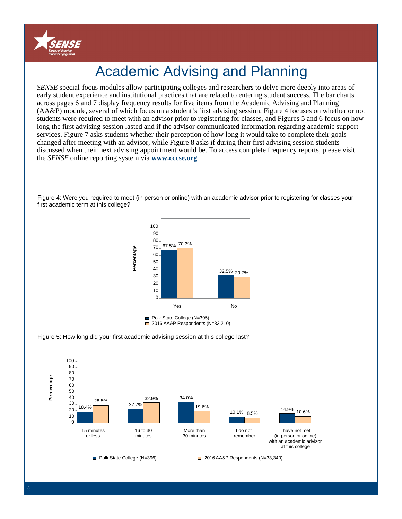

# Academic Advising and Planning

*SENSE* special-focus modules allow participating colleges and researchers to delve more deeply into areas of early student experience and institutional practices that are related to entering student success. The bar charts across pages 6 and 7 display frequency results for five items from the Academic Advising and Planning (AA&P) module, several of which focus on a student's first advising session. Figure 4 focuses on whether or not students were required to meet with an advisor prior to registering for classes, and Figures 5 and 6 focus on how long the first advising session lasted and if the advisor communicated information regarding academic support services. Figure 7 asks students whether their perception of how long it would take to complete their goals changed after meeting with an advisor, while Figure 8 asks if during their first advising session students discussed when their next advising appointment would be. To access complete frequency reports, please visit the *SENSE* online reporting system via **www.cccse.org**.

Figure 4: Were you required to meet (in person or online) with an academic advisor prior to registering for classes your first academic term at this college?



<sup>2016</sup> AA&P Respondents (N=33,210)



**Percentage**

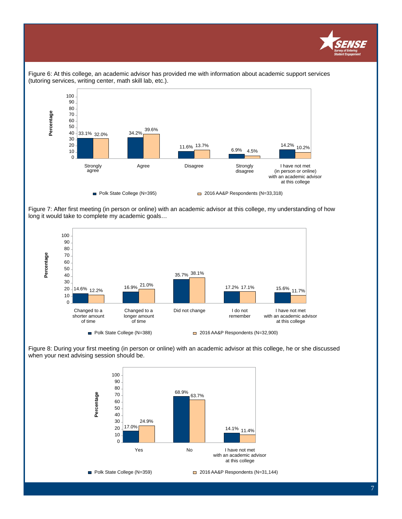



Figure 6: At this college, an academic advisor has provided me with information about academic support services (tutoring services, writing center, math skill lab, etc.).

Figure 7: After first meeting (in person or online) with an academic advisor at this college, my understanding of how long it would take to complete my academic goals…



Figure 8: During your first meeting (in person or online) with an academic advisor at this college, he or she discussed when your next advising session should be.